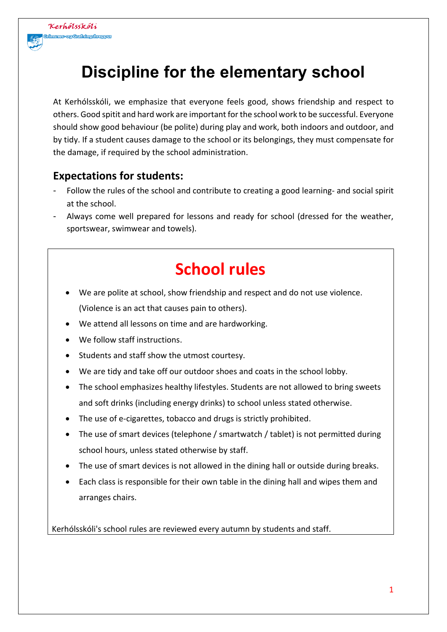

# **Discipline for the elementary school**

At Kerhólsskóli, we emphasize that everyone feels good, shows friendship and respect to others. Good spitit and hard work are important for the school work to be successful. Everyone should show good behaviour (be polite) during play and work, both indoors and outdoor, and by tidy. If a student causes damage to the school or its belongings, they must compensate for the damage, if required by the school administration.

#### **Expectations for students:**

- Follow the rules of the school and contribute to creating a good learning- and social spirit at the school.
- Always come well prepared for lessons and ready for school (dressed for the weather, sportswear, swimwear and towels).

# **School rules**

- We are polite at school, show friendship and respect and do not use violence. (Violence is an act that causes pain to others).
- We attend all lessons on time and are hardworking.
- We follow staff instructions.
- Students and staff show the utmost courtesy.
- We are tidy and take off our outdoor shoes and coats in the school lobby.
- The school emphasizes healthy lifestyles. Students are not allowed to bring sweets and soft drinks (including energy drinks) to school unless stated otherwise.
- The use of e-cigarettes, tobacco and drugs is strictly prohibited.
- The use of smart devices (telephone / smartwatch / tablet) is not permitted during school hours, unless stated otherwise by staff.
- The use of smart devices is not allowed in the dining hall or outside during breaks.
- Each class is responsible for their own table in the dining hall and wipes them and arranges chairs.

Kerhólsskóli's school rules are reviewed every autumn by students and staff.